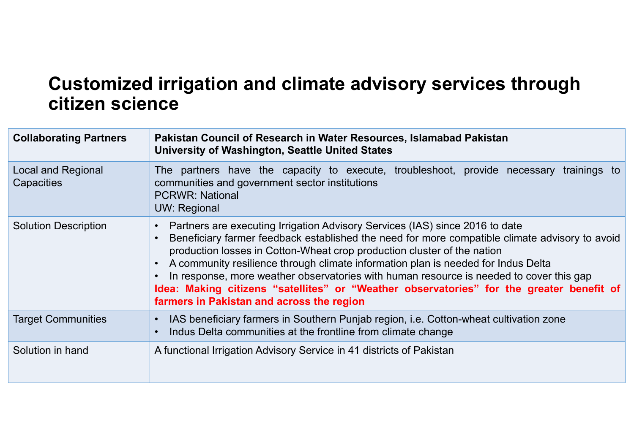#### Customized irrigation and climate advisory services through citizen science

| Customized irrigation and climate advisory services through<br>citizen science |                                                                                                                                                                                                                                                                                                                                                                                                                                                                                                                                                                                    |
|--------------------------------------------------------------------------------|------------------------------------------------------------------------------------------------------------------------------------------------------------------------------------------------------------------------------------------------------------------------------------------------------------------------------------------------------------------------------------------------------------------------------------------------------------------------------------------------------------------------------------------------------------------------------------|
| <b>Collaborating Partners</b>                                                  | Pakistan Council of Research in Water Resources, Islamabad Pakistan<br><b>University of Washington, Seattle United States</b>                                                                                                                                                                                                                                                                                                                                                                                                                                                      |
| <b>Local and Regional</b><br>Capacities                                        | The partners have the capacity to execute, troubleshoot, provide necessary<br>trainings to<br>communities and government sector institutions<br><b>PCRWR: National</b><br><b>UW: Regional</b>                                                                                                                                                                                                                                                                                                                                                                                      |
| <b>Solution Description</b>                                                    | Partners are executing Irrigation Advisory Services (IAS) since 2016 to date<br>Beneficiary farmer feedback established the need for more compatible climate advisory to avoid<br>production losses in Cotton-Wheat crop production cluster of the nation<br>A community resilience through climate information plan is needed for Indus Delta<br>In response, more weather observatories with human resource is needed to cover this gap<br>Idea: Making citizens "satellites" or "Weather observatories" for the greater benefit of<br>farmers in Pakistan and across the region |
| <b>Target Communities</b>                                                      | IAS beneficiary farmers in Southern Punjab region, i.e. Cotton-wheat cultivation zone<br>Indus Delta communities at the frontline from climate change                                                                                                                                                                                                                                                                                                                                                                                                                              |
| Solution in hand                                                               | A functional Irrigation Advisory Service in 41 districts of Pakistan                                                                                                                                                                                                                                                                                                                                                                                                                                                                                                               |
|                                                                                |                                                                                                                                                                                                                                                                                                                                                                                                                                                                                                                                                                                    |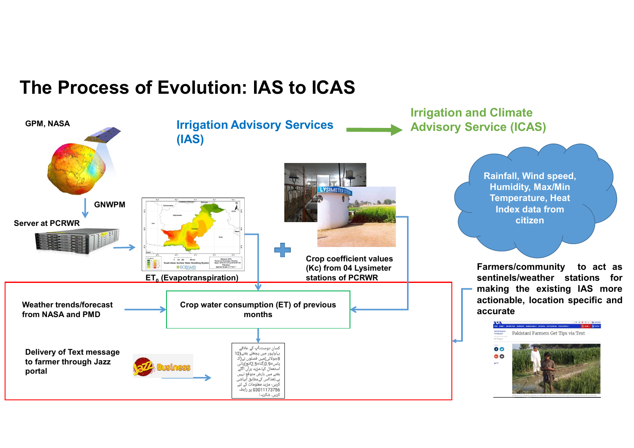### The Process of Evolution: IAS to ICAS

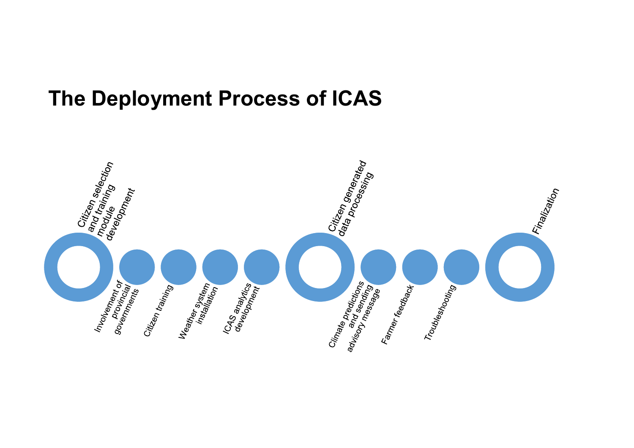### The Deployment Process of ICAS

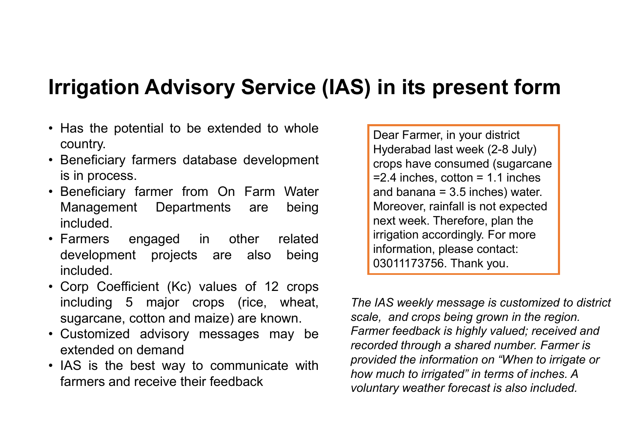# Irrigation Advisory Service (IAS) in its present form **Irrigation Advisory Service (IAS) in its present fo**<br>• Has the potential to be extended to whole<br>• Beneficiary farmers database development<br>• Seneficiary farmers database development<br>• Seneficiary farmers database develop **Irrigation Advisory Service (IAS) in its prese**<br>
• Has the potential to be extended to whole<br>
country.<br>
• Beneficiary farmers database development<br>
is in process.<br>
• Beneficiary farmer from On Farm Water<br>
Management Depar

- country.
- 
- **Trigation Advisory Service (I**<br>Has the potential to be extended to whole<br>country.<br>Beneficiary farmers database development<br>is in process.<br>Beneficiary farmer from On Farm Water<br>Management Departments are being<br>included. included.
- included.
- Beneficiary farmers database development<br>
is in process.<br>
Beneficiary farmer from On Farm Water<br>
Management Departments are being<br>
included.<br>
Farmers engaged in other related<br>
development projects are also being<br>
included. Beneficiary farmer from On Farm Water<br>
included.<br>
Included.<br>
Farmers engaged in other related<br>
information acordination according<br>
included.<br>
Corp Coefficient (Kc) values of 12 crops<br>
including 5 major crops (rice, wheat,<br>
- 
- 

Irrigation Advisory Service (IAS) in its present fo<br>
• Has the potential to be extended to whole<br>
• Beneficiary farmers database development<br>
• Beneficiary farmer from On Farm Water<br>
• Beneficiary farmer from On Farm Water **Tigation Advisory Service (IAS) in its present fo**<br>
Has the potential to be extended to whole<br>
country.<br>
Beneficiary farmers database development<br>
is in process.<br>
Beneficiary farmer from On Farm Water<br>
Management Departm Irrigation Advisory Service (IAS) in its present for this the potential to be extended to whole<br>
• Has the potential to be extended to whole<br>
• Beneficiary farmers database development<br>
• Beneficiary farmer from On Farm Wa **Tigation Advisory Service (IAS) in its present fo**<br>
Has the potential to be extended to whole<br>
country.<br>
Beneficiary farmers database development<br>
is in process.<br>
Seneficiary farmer from On Farm Water<br>
Management Departm • Has the potential to be extended to whole<br>
country.<br>
• Beneficiary farmers database development<br>
• Beneficiary farmers database development<br>
• Beneficiary farmer from On Farm Water<br>
• Corp Coefficient Departments are bei Has the potential to be extended to whole<br>
country.<br>
Beneficiary farmers database development<br>
is in process.<br>
Beneficiary farmer from On Farm Water<br>
included.<br>
Management Departments are being<br>
included.<br>
Farmers engaged Has the potential to be extended to whole<br>
country.<br>
Beneficiary farmers database development<br>
is in process.<br>
Summers from On Farm Water<br>
Management Departments are being<br>
Moreover, rainfall is not ext<br>
included.<br>
Farmers For the information and the sixtended on density farmers and receive their feedback<br>
that is a process.<br>
• Customized and banan a 3.5 inches, other and banan a 3.5 inches) water.<br>
• Customized and banan a state informatio Dear Farmer, in your district Hyderabad last week (2-8 July) crops have consumed (sugarcane  $=2.4$  inches, cotton  $= 1.1$  inches and banana  $= 3.5$  inches) water. Moreover, rainfall is not expected next week. Therefore, plan the irrigation accordingly. For more information, please contact: 03011173756. Thank you.

From Sin process.<br>
• Beneficiary farmer from On Farm Water<br>
• Management Departments are being<br>
included.<br>
• Farmers engaged in other related<br>
• Farmers engaged in other related<br>
• Farmers engaged in other related<br>
• Farm The IAS weekly message is customized to district scale, and crops being grown in the region. Farmer feedback is highly valued; received and recorded through a shared number. Farmer is provided the information on "When to irrigate or how much to irrigated" in terms of inches. A voluntary weather forecast is also included.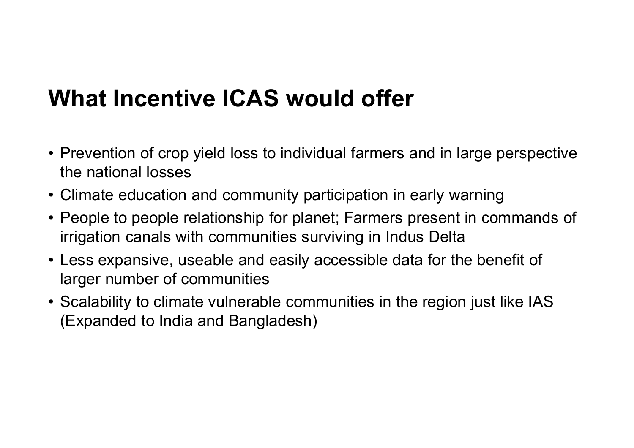### What Incentive ICAS would offer

- What Incentive ICAS would offer<br>• Prevention of crop yield loss to individual farmers and in large perspective<br>• Climate education and community participation in early warning the national losses
- 
- What Incentive ICAS would offer<br>• Prevention of crop yield loss to individual farmers and in large perspective<br>the national losses<br>• Climate education and community participation in early warning<br>• People to people relatio What Incentive ICAS would offer<br>• Prevention of crop yield loss to individual farmers and in large perspective<br>the national losses<br>• Climate education and community participation in early warning<br>• People to people relatio irrigation canals with communities surviving in Indus Delta **What Incentive ICAS would offer**<br>• Prevention of crop yield loss to individual farmers and in large perspective<br>the national losses<br>• Climate education and community participation in early warning<br>• People to people relat • Prevention of crop yield loss to individual farmers and in large perspective<br>the national losses<br>• Climate education and community participation in early warning<br>• People to people relationship for planet; Farmers presen
- larger number of communities
- (Expanded to India and Bangladesh)